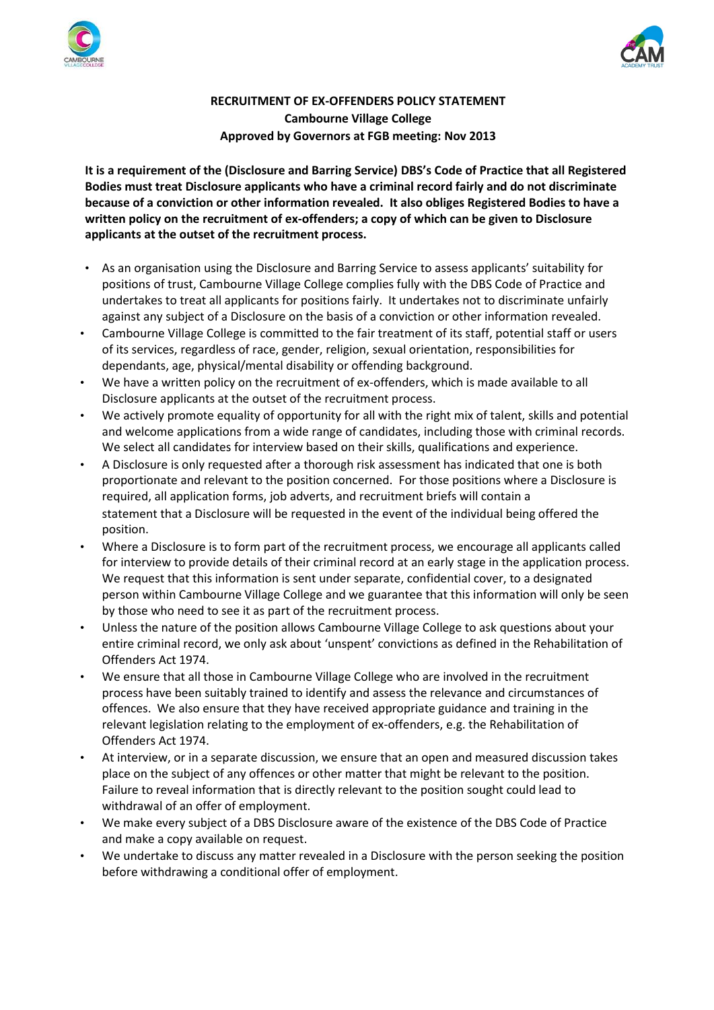



## **RECRUITMENT OF EX-OFFENDERS POLICY STATEMENT Cambourne Village College Approved by Governors at FGB meeting: Nov 2013**

**It is a requirement of the (Disclosure and Barring Service) DBS's Code of Practice that all Registered Bodies must treat Disclosure applicants who have a criminal record fairly and do not discriminate because of a conviction or other information revealed. It also obliges Registered Bodies to have a written policy on the recruitment of ex-offenders; a copy of which can be given to Disclosure applicants at the outset of the recruitment process.**

- As an organisation using the Disclosure and Barring Service to assess applicants' suitability for positions of trust, Cambourne Village College complies fully with the DBS Code of Practice and undertakes to treat all applicants for positions fairly. It undertakes not to discriminate unfairly against any subject of a Disclosure on the basis of a conviction or other information revealed.
- Cambourne Village College is committed to the fair treatment of its staff, potential staff or users of its services, regardless of race, gender, religion, sexual orientation, responsibilities for dependants, age, physical/mental disability or offending background.
- We have a written policy on the recruitment of ex-offenders, which is made available to all Disclosure applicants at the outset of the recruitment process.
- We actively promote equality of opportunity for all with the right mix of talent, skills and potential and welcome applications from a wide range of candidates, including those with criminal records. We select all candidates for interview based on their skills, qualifications and experience.
- A Disclosure is only requested after a thorough risk assessment has indicated that one is both proportionate and relevant to the position concerned. For those positions where a Disclosure is required, all application forms, job adverts, and recruitment briefs will contain a statement that a Disclosure will be requested in the event of the individual being offered the position.
- Where a Disclosure is to form part of the recruitment process, we encourage all applicants called for interview to provide details of their criminal record at an early stage in the application process. We request that this information is sent under separate, confidential cover, to a designated person within Cambourne Village College and we guarantee that this information will only be seen by those who need to see it as part of the recruitment process.
- Unless the nature of the position allows Cambourne Village College to ask questions about your entire criminal record, we only ask about 'unspent' convictions as defined in the Rehabilitation of Offenders Act 1974.
- We ensure that all those in Cambourne Village College who are involved in the recruitment process have been suitably trained to identify and assess the relevance and circumstances of offences. We also ensure that they have received appropriate guidance and training in the relevant legislation relating to the employment of ex-offenders, e.g. the Rehabilitation of Offenders Act 1974.
- At interview, or in a separate discussion, we ensure that an open and measured discussion takes place on the subject of any offences or other matter that might be relevant to the position. Failure to reveal information that is directly relevant to the position sought could lead to withdrawal of an offer of employment.
- We make every subject of a DBS Disclosure aware of the existence of the DBS Code of Practice and make a copy available on request.
- We undertake to discuss any matter revealed in a Disclosure with the person seeking the position before withdrawing a conditional offer of employment.